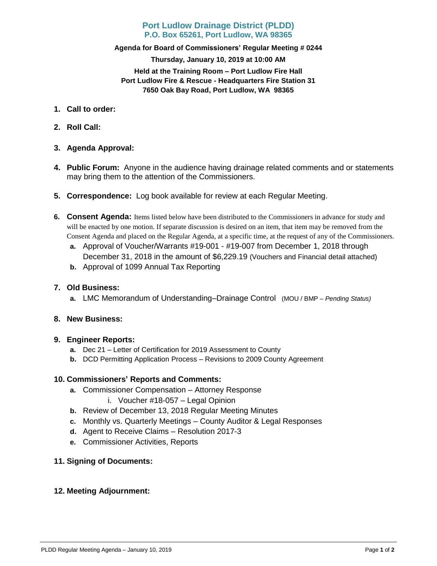## **Port Ludlow Drainage District (PLDD) P.O. Box 65261, Port Ludlow, WA 98365**

## **Agenda for Board of Commissioners' Regular Meeting # 0244 Thursday, January 10, 2019 at 10:00 AM Held at the Training Room – Port Ludlow Fire Hall Port Ludlow Fire & Rescue - Headquarters Fire Station 31 7650 Oak Bay Road, Port Ludlow, WA 98365**

- **1. Call to order:**
- **2. Roll Call:**
- **3. Agenda Approval:**
- **4. Public Forum:** Anyone in the audience having drainage related comments and or statements may bring them to the attention of the Commissioners.
- **5. Correspondence:** Log book available for review at each Regular Meeting.
- **6. Consent Agenda:** Items listed below have been distributed to the Commissioners in advance for study and will be enacted by one motion. If separate discussion is desired on an item, that item may be removed from the Consent Agenda and placed on the Regular Agenda, at a specific time, at the request of any of the Commissioners.
	- **a.** Approval of Voucher/Warrants #19-001 #19-007 from December 1, 2018 through December 31, 2018 in the amount of \$6,229.19 (Vouchers and Financial detail attached)
	- **b.** Approval of 1099 Annual Tax Reporting
- **7. Old Business:**
	- **a.** LMC Memorandum of Understanding–Drainage Control (MOU / BMP *– Pending Status)*
- **8. New Business:**
- **9. Engineer Reports:**
	- **a.** Dec 21 Letter of Certification for 2019 Assessment to County
	- **b.** DCD Permitting Application Process Revisions to 2009 County Agreement

## **10. Commissioners' Reports and Comments:**

- **a.** Commissioner Compensation Attorney Response
	- i. Voucher #18-057 Legal Opinion
- **b.** Review of December 13, 2018 Regular Meeting Minutes
- **c.** Monthly vs. Quarterly Meetings County Auditor & Legal Responses
- **d.** Agent to Receive Claims Resolution 2017-3
- **e.** Commissioner Activities, Reports
- **11. Signing of Documents:**

## **12. Meeting Adjournment:**